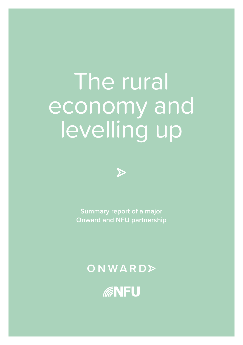# The rural economy and levelling up



**Summary report of a major Onward and NFU partnership**

ONWARD>

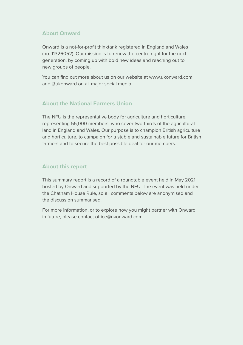#### **About Onward**

Onward is a not-for-profit thinktank registered in England and Wales (no. 11326052). Our mission is to renew the centre right for the next generation, by coming up with bold new ideas and reaching out to new groups of people.

You can find out more about us on our website at [www.ukonward.com](http://www.ukonward.com) and @ukonward on all major social media.

### **About the National Farmers Union**

The NFU is the representative body for agriculture and horticulture, representing 55,000 members, who cover two-thirds of the agricultural land in England and Wales. Our purpose is to champion British agriculture and horticulture, to campaign for a stable and sustainable future for British farmers and to secure the best possible deal for our members.

### **About this report**

This summary report is a record of a roundtable event held in May 2021, hosted by Onward and supported by the NFU. The event was held under the Chatham House Rule, so all comments below are anonymised and the discussion summarised.

For more information, or to explore how you might partner with Onward in future, please contact [office@ukonward.com](mailto:office@ukonward.com).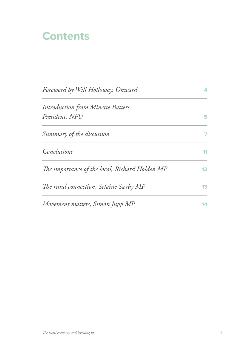### **Contents**

| Foreword by Will Holloway, Onward              | 4  |
|------------------------------------------------|----|
| Introduction from Minette Batters,             |    |
| President, NFU                                 | 5  |
| Summary of the discussion                      | 7  |
| Conclusions                                    | 11 |
| The importance of the local, Richard Holden MP | 12 |
| The rural connection, Selaine Saxby MP         | 13 |
| Movement matters, Simon Jupp MP                | 14 |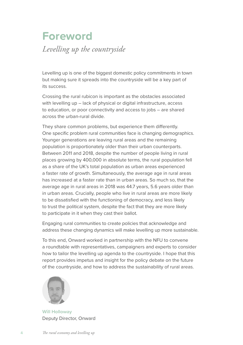### **Foreword** *Levelling up the countryside*

Levelling up is one of the biggest domestic policy commitments in town but making sure it spreads into the countryside will be a key part of its success.

Crossing the rural rubicon is important as the obstacles associated with levelling up – lack of physical or digital infrastructure, access to education, or poor connectivity and access to jobs – are shared across the urban-rural divide.

They share common problems, but experience them differently. One specific problem rural communities face is changing demographics. Younger generations are leaving rural areas and the remaining population is proportionately older than their urban counterparts. Between 2011 and 2018, despite the number of people living in rural places growing by 400,000 in absolute terms, the rural population fell as a share of the UK's total population as urban areas experienced a faster rate of growth. Simultaneously, the average age in rural areas has increased at a faster rate than in urban areas. So much so, that the average age in rural areas in 2018 was 44.7 years, 5.6 years older than in urban areas. Crucially, people who live in rural areas are more likely to be dissatisfied with the functioning of democracy, and less likely to trust the political system, despite the fact that they are more likely to participate in it when they cast their ballot.

Engaging rural communities to create policies that acknowledge and address these changing dynamics will make levelling up more sustainable.

To this end, Onward worked in partnership with the NFU to convene a roundtable with representatives, campaigners and experts to consider how to tailor the levelling up agenda to the countryside. I hope that this report provides impetus and insight for the policy debate on the future of the countryside, and how to address the sustainability of rural areas.



**Will Holloway** Deputy Director, Onward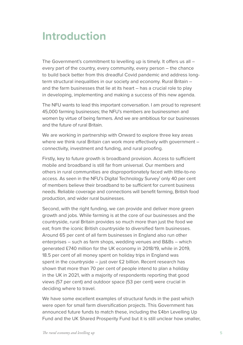### <span id="page-4-0"></span>**Introduction**

The Government's commitment to levelling up is timely. It offers us all – every part of the country, every community, every person – the chance to build back better from this dreadful Covid pandemic and address longterm structural inequalities in our society and economy. Rural Britain – and the farm businesses that lie at its heart – has a crucial role to play in developing, implementing and making a success of this new agenda.

The NFU wants to lead this important conversation. I am proud to represent 45,000 farming businesses; the NFU's members are businessmen and women by virtue of being farmers. And we are ambitious for our businesses and the future of rural Britain.

We are working in partnership with Onward to explore three key areas where we think rural Britain can work more effectively with government – connectivity, investment and funding, and rural proofing.

Firstly, key to future growth is broadband provision. Access to sufficient mobile and broadband is still far from universal. Our members and others in rural communities are disproportionately faced with little-to-no access. As seen in the NFU's Digital Technology Survey<sup>1</sup> only 40 per cent of members believe their broadband to be sufficient for current business needs. Reliable coverage and connections will benefit farming, British food production, and wider rural businesses.

Second, with the right funding, we can provide and deliver more green growth and jobs. While farming is at the core of our businesses and the countryside, rural Britain provides so much more than just the food we eat; from the iconic British countryside to diversified farm businesses. Around 65 per cent of all farm businesses in England also run other enterprises – such as farm shops, wedding venues and B&Bs – which generated £740 million for the UK economy in 2018/19, while in 2019, 18.5 per cent of all money spent on holiday trips in England was spent in the countryside – just over £2 billion. Recent research has shown that more than 70 per cent of people intend to plan a holiday in the UK in 2021, with a majority of respondents reporting that good views (57 per cent) and outdoor space (53 per cent) were crucial in deciding where to travel.

We have some excellent examples of structural funds in the past which were open for small farm diversification projects. This Government has announced future funds to match these, including the £4bn Levelling Up Fund and the UK Shared Prosperity Fund but it is still unclear how smaller,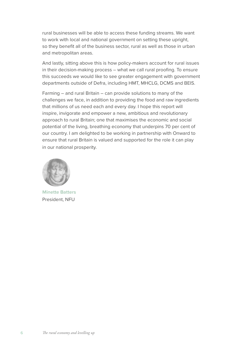rural businesses will be able to access these funding streams. We want to work with local and national government on setting these upright, so they benefit all of the business sector, rural as well as those in urban and metropolitan areas.

And lastly, sitting above this is how policy-makers account for rural issues in their decision-making process – what we call rural proofing. To ensure this succeeds we would like to see greater engagement with government departments outside of Defra, including HMT, MHCLG, DCMS and BEIS.

Farming – and rural Britain – can provide solutions to many of the challenges we face, in addition to providing the food and raw ingredients that millions of us need each and every day. I hope this report will inspire, invigorate and empower a new, ambitious and revolutionary approach to rural Britain; one that maximises the economic and social potential of the living, breathing economy that underpins 70 per cent of our country. I am delighted to be working in partnership with Onward to ensure that rural Britain is valued and supported for the role it can play in our national prosperity.



**Minette Batters** President, NFU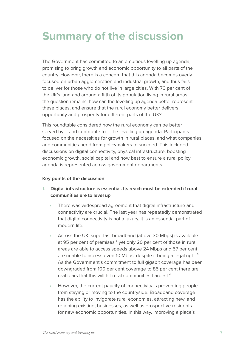## <span id="page-6-0"></span>**Summary of the discussion**

The Government has committed to an ambitious levelling up agenda, promising to bring growth and economic opportunity to all parts of the country. However, there is a concern that this agenda becomes overly focused on urban agglomeration and industrial growth, and thus fails to deliver for those who do not live in large cities. With 70 per cent of the UK's land and around a fifth of its population living in rural areas, the question remains: how can the levelling up agenda better represent these places, and ensure that the rural economy better delivers opportunity and prosperity for different parts of the UK?

This roundtable considered how the rural economy can be better served by – and contribute to – the levelling up agenda. Participants focused on the necessities for growth in rural places, and what companies and communities need from policymakers to succeed. This included discussions on digital connectivity, physical infrastructure, boosting economic growth, social capital and how best to ensure a rural policy agenda is represented across government departments.

#### **Key points of the discussion**

- **1. Digital infrastructure is essential. Its reach must be extended if rural communities are to level up**
	- **•** There was widespread agreement that digital infrastructure and connectivity are crucial. The last year has repeatedly demonstrated that digital connectivity is not a luxury, it is an essential part of modern life.
	- **•** Across the UK, superfast broadband (above 30 Mbps) is available at 95 per cent of premises,<sup>2</sup> yet only 20 per cent of those in rural areas are able to access speeds above 24 Mbps and 57 per cent are unable to access even 10 Mbps, despite it being a legal right.<sup>3</sup> As the Government's commitment to full gigabit coverage has been downgraded from 100 per cent coverage to 85 per cent there are real fears that this will hit rural communities hardest[.4](#page-14-0)
	- **•** However, the current paucity of connectivity is preventing people from staying or moving to the countryside. Broadband coverage has the ability to invigorate rural economies, attracting new, and retaining existing, businesses, as well as prospective residents for new economic opportunities. In this way, improving a place's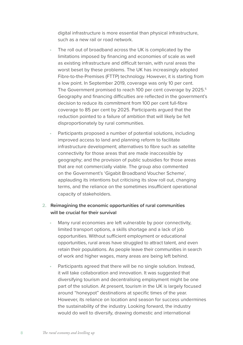<span id="page-7-0"></span>digital infrastructure is more essential than physical infrastructure, such as a new rail or road network.

- **•** The roll out of broadband across the UK is complicated by the limitations imposed by financing and economies of scale as well as existing infrastructure and difficult terrain, with rural areas the worst beset by these problems. The UK has increasingly adopted Fibre-to-the-Premises (FTTP) technology. However, it is starting from a low point. In September 2019, coverage was only 10 per cent. The Government promised to reach 100 per cent coverage by 202[5](#page-14-0).<sup>5</sup> Geography and financing difficulties are reflected in the government's decision to reduce its commitment from 100 per cent full-fibre coverage to 85 per cent by 2025. Participants argued that the reduction pointed to a failure of ambition that will likely be felt disproportionately by rural communities.
- **•** Participants proposed a number of potential solutions, including improved access to land and planning reform to facilitate infrastructure development; alternatives to fibre such as satellite connectivity for those areas that are made inaccessible by geography; and the provision of public subsidies for those areas that are not commercially viable. The group also commented on the Government's 'Gigabit Broadband Voucher Scheme', applauding its intentions but criticising its slow roll out, changing terms, and the reliance on the sometimes insufficient operational capacity of stakeholders.

#### **2. Reimagining the economic opportunities of rural communities will be crucial for their survival**

- **•** Many rural economies are left vulnerable by poor connectivity, limited transport options, a skills shortage and a lack of job opportunities. Without sufficient employment or educational opportunities, rural areas have struggled to attract talent, and even retain their populations. As people leave their communities in search of work and higher wages, many areas are being left behind.
- **•** Participants agreed that there will be no single solution. Instead, it will take collaboration and innovation. It was suggested that diversifying tourism and decentralising employment might be one part of the solution. At present, tourism in the UK is largely focused around "honeypot" destinations at specific times of the year. However, its reliance on location and season for success undermines the sustainability of the industry. Looking forward, the industry would do well to diversify, drawing domestic and international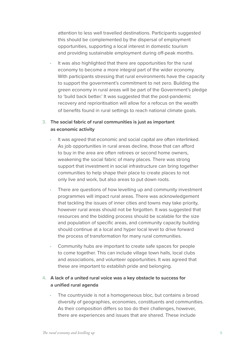attention to less well travelled destinations. Participants suggested this should be complemented by the dispersal of employment opportunities, supporting a local interest in domestic tourism and providing sustainable employment during off-peak months.

**•** It was also highlighted that there are opportunities for the rural economy to become a more integral part of the wider economy. With participants stressing that rural environments have the capacity to support the government's commitment to net zero. Building the green economy in rural areas will be part of the Government's pledge to 'build back better.' It was suggested that the post-pandemic recovery and reprioritisation will allow for a refocus on the wealth of benefits found in rural settings to reach national climate goals.

#### **3. The social fabric of rural communities is just as important as economic activity**

- **•** It was agreed that economic and social capital are often interlinked. As job opportunities in rural areas decline, those that can afford to buy in the area are often retirees or second home owners, weakening the social fabric of many places. There was strong support that investment in social infrastructure can bring together communities to help shape their place to create places to not only live and work, but also areas to put down roots.
- **•** There are questions of how levelling up and community investment programmes will impact rural areas. There was acknowledgement that tackling the issues of inner cities and towns may take priority, however rural areas should not be forgotten. It was suggested that resources and the bidding process should be scalable for the size and population of specific areas, and community capacity building should continue at a local and hyper local level to drive forward the process of transformation for many rural communities.
- **•** Community hubs are important to create safe spaces for people to come together. This can include village town halls, local clubs and associations, and volunteer opportunities. It was agreed that these are important to establish pride and belonging.

### **4. A lack of a united rural voice was a key obstacle to success for a unified rural agenda**

**•** The countryside is not a homogeneous bloc, but contains a broad diversity of geographies, economies, constituents and communities. As their composition differs so too do their challenges, however, there are experiences and issues that are shared. These include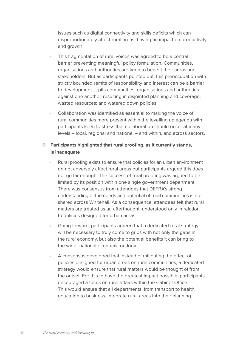issues such as digital connectivity and skills deficits which can disproportionately affect rural areas, having an impact on productivity and growth.

- **•** This fragmentation of rural voices was agreed to be a central barrier preventing meaningful policy formulation. Communities, organisations and authorities are keen to benefit their areas and stakeholders. But as participants pointed out, this preoccupation with strictly bounded remits of responsibility and interest can be a barrier to development. It pits communities, organisations and authorities against one another, resulting in disjointed planning and coverage; wasted resources; and watered down policies.
- **•** Collaboration was identified as essential to making the voice of rural communities more present within the levelling up agenda with participants keen to stress that collaboration should occur at many levels – local, regional and national – and within, and across sectors.

#### **5. Participants highlighted that rural proofing, as it currently stands, is inadequate**

- **•** Rural proofing exists to ensure that policies for an urban environment do not adversely affect rural areas but participants argued this does not go far enough. The success of rural proofing was argued to be limited by its position within one single government department. There was consensus from attendees that DEFRA's strong understanding of the needs and potential of rural communities is not shared across Whitehall. As a consequence, attendees felt that rural matters are treated as an afterthought, understood only in relation to policies designed for urban areas.
- **•** Going forward, participants agreed that a dedicated rural strategy will be necessary to truly come to grips with not only the gaps in the rural economy, but also the potential benefits it can bring to the wider national economic outlook.
- **•** A consensus developed that instead of mitigating the effect of policies designed for urban areas on rural communities, a dedicated strategy would ensure that rural matters would be thought of from the outset. For this to have the greatest impact possible, participants encouraged a focus on rural affairs within the Cabinet Office. This would ensure that all departments, from transport to health, education to business, integrate rural areas into their planning.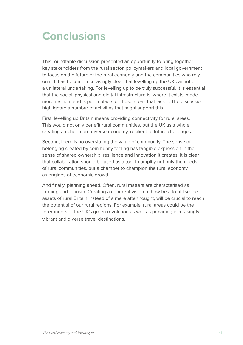### **Conclusions**

This roundtable discussion presented an opportunity to bring together key stakeholders from the rural sector, policymakers and local government to focus on the future of the rural economy and the communities who rely on it. It has become increasingly clear that levelling up the UK cannot be a unilateral undertaking. For levelling up to be truly successful, it is essential that the social, physical and digital infrastructure is, where it exists, made more resilient and is put in place for those areas that lack it. The discussion highlighted a number of activities that might support this.

First, levelling up Britain means providing connectivity for rural areas. This would not only benefit rural communities, but the UK as a whole creating a richer more diverse economy, resilient to future challenges.

Second, there is no overstating the value of community. The sense of belonging created by community feeling has tangible expression in the sense of shared ownership, resilience and innovation it creates. It is clear that collaboration should be used as a tool to amplify not only the needs of rural communities, but a chamber to champion the rural economy as engines of economic growth.

And finally, planning ahead. Often, rural matters are characterised as farming and tourism. Creating a coherent vision of how best to utilise the assets of rural Britain instead of a mere afterthought, will be crucial to reach the potential of our rural regions. For example, rural areas could be the forerunners of the UK's green revolution as well as providing increasingly vibrant and diverse travel destinations.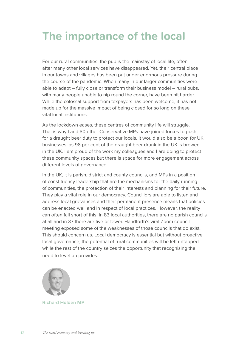### **The importance of the local**

For our rural communities, the pub is the mainstay of local life, often after many other local services have disappeared. Yet, their central place in our towns and villages has been put under enormous pressure during the course of the pandemic. When many in our larger communities were able to adapt – fully close or transform their business model – rural pubs, with many people unable to nip round the corner, have been hit harder. While the colossal support from taxpayers has been welcome, it has not made up for the massive impact of being closed for so long on these vital local institutions.

As the lockdown eases, these centres of community life will struggle. That is why I and 80 other Conservative MPs have joined forces to push for a draught beer duty to protect our locals. It would also be a boon for UK businesses, as 98 per cent of the draught beer drunk in the UK is brewed in the UK. I am proud of the work my colleagues and I are doing to protect these community spaces but there is space for more engagement across different levels of governance.

In the UK, it is parish, district and county councils, and MPs in a position of constituency leadership that are the mechanisms for the daily running of communities, the protection of their interests and planning for their future. They play a vital role in our democracy. Councillors are able to listen and address local grievances and their permanent presence means that policies can be enacted well and in respect of local practices. However, the reality can often fall short of this. In 83 local authorities, there are no parish councils at all and in 37 there are five or fewer. Handforth's viral Zoom council meeting exposed some of the weaknesses of those councils that do exist. This should concern us. Local democracy is essential but without proactive local governance, the potential of rural communities will be left untapped while the rest of the country seizes the opportunity that recognising the need to level up provides.



**Richard Holden MP**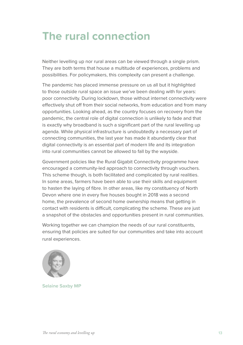### **The rural connection**

Neither levelling up nor rural areas can be viewed through a single prism. They are both terms that house a multitude of experiences, problems and possibilities. For policymakers, this complexity can present a challenge.

The pandemic has placed immense pressure on us all but it highlighted to those outside rural space an issue we've been dealing with for years: poor connectivity. During lockdown, those without internet connectivity were effectively shut off from their social networks, from education and from many opportunities. Looking ahead, as the country focuses on recovery from the pandemic, the central role of digital connection is unlikely to fade and that is exactly why broadband is such a significant part of the rural levelling up agenda. While physical infrastructure is undoubtedly a necessary part of connecting communities, the last year has made it abundantly clear that digital connectivity is an essential part of modern life and its integration into rural communities cannot be allowed to fall by the wayside.

Government policies like the Rural Gigabit Connectivity programme have encouraged a community-led approach to connectivity through vouchers. This scheme though, is both facilitated and complicated by rural realities. In some areas, farmers have been able to use their skills and equipment to hasten the laying of fibre. In other areas, like my constituency of North Devon where one in every five houses bought in 2018 was a second home, the prevalence of second home ownership means that getting in contact with residents is difficult, complicating the scheme. These are just a snapshot of the obstacles and opportunities present in rural communities.

Working together we can champion the needs of our rural constituents, ensuring that policies are suited for our communities and take into account rural experiences.



**Selaine Saxby MP**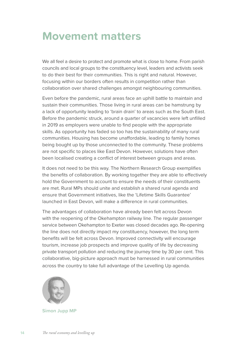### **Movement matters**

We all feel a desire to protect and promote what is close to home. From parish councils and local groups to the constituency level, leaders and activists seek to do their best for their communities. This is right and natural. However, focusing within our borders often results in competition rather than collaboration over shared challenges amongst neighbouring communities.

Even before the pandemic, rural areas face an uphill battle to maintain and sustain their communities. Those living in rural areas can be hamstrung by a lack of opportunity leading to 'brain drain' to areas such as the South East. Before the pandemic struck, around a quarter of vacancies were left unfilled in 2019 as employers were unable to find people with the appropriate skills. As opportunity has faded so too has the sustainability of many rural communities. Housing has become unaffordable, leading to family homes being bought up by those unconnected to the community. These problems are not specific to places like East Devon. However, solutions have often been localised creating a conflict of interest between groups and areas.

It does not need to be this way. The Northern Research Group exemplifies the benefits of collaboration. By working together they are able to effectively hold the Government to account to ensure the needs of their constituents are met. Rural MPs should unite and establish a shared rural agenda and ensure that Government initiatives, like the 'Lifetime Skills Guarantee' launched in East Devon, will make a difference in rural communities.

The advantages of collaboration have already been felt across Devon with the reopening of the Okehampton railway line. The regular passenger service between Okehampton to Exeter was closed decades ago. Re-opening the line does not directly impact my constituency, however, the long term benefits will be felt across Devon. Improved connectivity will encourage tourism, increase job prospects and improve quality of life by decreasing private transport pollution and reducing the journey time by 30 per cent. This collaborative, big-picture approach must be harnessed in rural communities across the country to take full advantage of the Levelling Up agenda.



**Simon Jupp MP**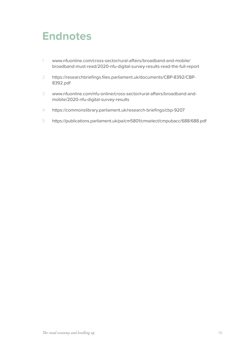### <span id="page-14-0"></span>**Endnotes**

- 1 [w](#page-4-0)[ww.nfuonline.com/cross-sector/rural-affairs/broadband-and-mobile/](http://www.nfuonline.com/cross-sector/rural-affairs/broadband-and-mobile/broadband-must-read/2020-nfu-digital-survey-results-read-the-full-report) [broadband-must-read/2020-nfu-digital-survey-results-read-the-full-report](http://www.nfuonline.com/cross-sector/rural-affairs/broadband-and-mobile/broadband-must-read/2020-nfu-digital-survey-results-read-the-full-report)
- 2 [h](#page-6-0)[ttps://researchbriefings.files.parliament.uk/documents/CBP-8392/CBP-](https://researchbriefings.files.parliament.uk/documents/CBP-8392/CBP-8392.pdf)[8392.pdf](https://researchbriefings.files.parliament.uk/documents/CBP-8392/CBP-8392.pdf)
- 3 [w](#page-6-0)[ww.nfuonline.com/nfu-online/cross-sector/rural-affairs/broadband-and](http://www.nfuonline.com/nfu-online/cross-sector/rural-affairs/broadband-and-mobile/2020-nfu-digital-survey-results)[mobile/2020-nfu-digital-survey-results](http://www.nfuonline.com/nfu-online/cross-sector/rural-affairs/broadband-and-mobile/2020-nfu-digital-survey-results)
- 4 [h](#page-6-0)[ttps://commonslibrary.parliament.uk/research-briefings/cbp-9207](https://commonslibrary.parliament.uk/research-briefings/cbp-9207)
- 5 <https://publications.parliament.uk/pa/cm5801/cmselect/cmpubacc/688/688.pdf>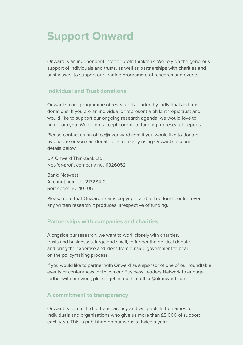### **Support Onward**

Onward is an independent, not-for-profit thinktank. We rely on the generous support of individuals and trusts, as well as partnerships with charities and businesses, to support our leading programme of research and events.

### **Individual and Trust donations**

Onward's core programme of research is funded by individual and trust donations. If you are an individual or represent a philanthropic trust and would like to support our ongoing research agenda, we would love to hear from you. We do not accept corporate funding for research reports.

Please contact us on [office@ukonward.com](mailto:office@ukonward.com) if you would like to donate by cheque or you can donate electronically using Onward's account details below.

UK Onward Thinktank Ltd Not-for-profit company no. 11326052

Bank: Natwest Account number: 21328412 Sort code: 50–10–05

Please note that Onward retains copyright and full editorial control over any written research it produces, irrespective of funding.

#### **Partnerships with companies and charities**

Alongside our research, we want to work closely with charities, trusts and businesses, large and small, to further the political debate and bring the expertise and ideas from outside government to bear on the policymaking process.

If you would like to partner with Onward as a sponsor of one of our roundtable events or conferences, or to join our Business Leaders Network to engage further with our work, please get in touch at [office@ukonward.com.](mailto:office@ukonward.com)

#### **A commitment to transparency**

Onward is committed to transparency and will publish the names of individuals and organisations who give us more than £5,000 of support each year. This is published on our website twice a year.